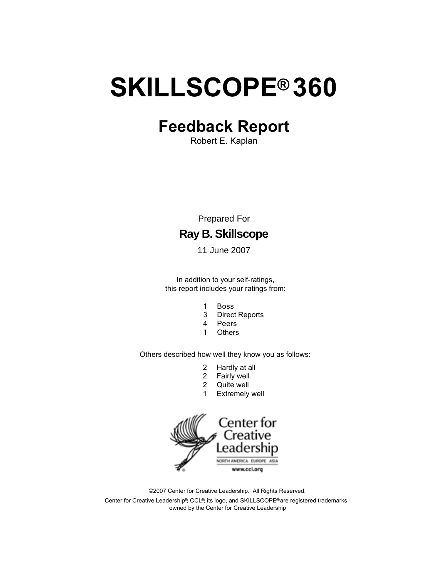# <span id="page-0-0"></span>**SKILLSCOPE® 360**

# **Feedback Report**

Robert E. Kaplan

Prepared For

### **Ray B.Skillscope**

11 June 2007

In addition to your self-ratings, this report includes your ratings from:

- 1 Boss
- 3 Direct Reports
- 4 Peers
- 1 Others

Others described how well they know you as follows:

- 2 Hardly at all
- 2 Fairly well
- 2 Quite well
- 1 Extremely well



©2007 Center for Creative Leadership. All Rights Reserved. Center for Creative Leadership®, CCL®, its logo, and SKILLSCOPE®are registered trademarks owned by the Center for Creative Leadership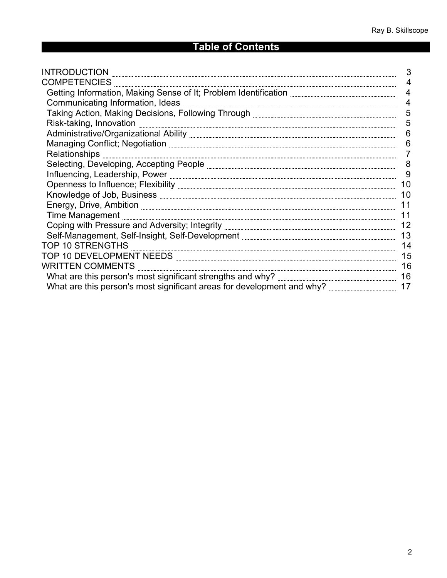### **Table of Contents**

| $\begin{minipage}[c]{0.9\linewidth} \begin{tabular}{l} \textbf{INTRODUCTION} \end{tabular} \end{minipage}$ | 3              |
|------------------------------------------------------------------------------------------------------------|----------------|
|                                                                                                            | 4              |
|                                                                                                            | 4              |
|                                                                                                            | $\overline{4}$ |
|                                                                                                            | 5              |
|                                                                                                            | 5              |
|                                                                                                            | 6              |
|                                                                                                            | 6              |
| Relationships <b>www.communications.communications</b>                                                     |                |
|                                                                                                            | 8              |
|                                                                                                            | 9              |
|                                                                                                            | 10             |
|                                                                                                            | 10             |
|                                                                                                            | 11             |
|                                                                                                            | 11             |
|                                                                                                            | 12             |
|                                                                                                            | 13             |
|                                                                                                            | 14             |
|                                                                                                            | 15             |
|                                                                                                            | 16             |
|                                                                                                            |                |
|                                                                                                            | 17             |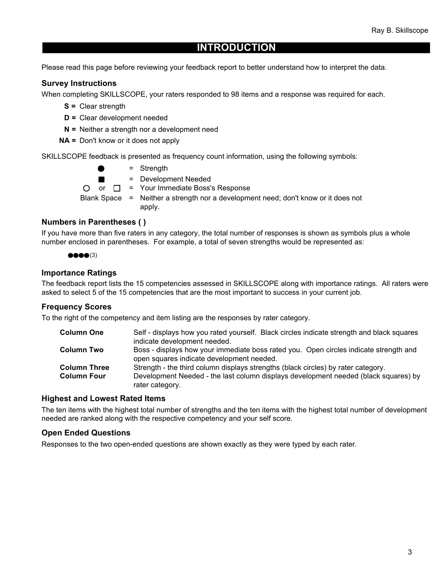### **INTRODUCTION**

<span id="page-2-0"></span>Please read this page before reviewing your feedback report to better understand how to interpret the data.

#### **Survey Instructions**

When completing SKILLSCOPE, your raters responded to 98 items and a response was required for each.

- **S =** Clear strength
- **D =** Clear development needed
- **N =** Neither a strength nor a development need
- **NA =** Don't know or it does not apply

SKILLSCOPE feedback is presented as frequency count information, using the following symbols:

= Strength = Development Needed  $\blacksquare$ O or  $\Box$  = Your Immediate Boss's Response Blank Space = Neither a strength nor a development need; don't know or it does not apply.

#### **Numbers in Parentheses ( )**

If you have more than five raters in any category, the total number of responses is shown as symbols plus a whole number enclosed in parentheses. For example, a total of seven strengths would be represented as:

 $\bullet\bullet\bullet\bullet(3)$ 

#### **Importance Ratings**

The feedback report lists the 15 competencies assessed in SKILLSCOPE along with importance ratings. All raters were asked to select 5 of the 15 competencies that are the most important to success in your current job.

#### **Frequency Scores**

To the right of the competency and item listing are the responses by rater category.

| <b>Column One</b>   | Self - displays how you rated yourself. Black circles indicate strength and black squares              |
|---------------------|--------------------------------------------------------------------------------------------------------|
|                     | indicate development needed.                                                                           |
| <b>Column Two</b>   | Boss - displays how your immediate boss rated you. Open circles indicate strength and                  |
|                     | open squares indicate development needed.                                                              |
| <b>Column Three</b> | Strength - the third column displays strengths (black circles) by rater category.                      |
| <b>Column Four</b>  | Development Needed - the last column displays development needed (black squares) by<br>rater category. |

#### **Highest and Lowest Rated Items**

The ten items with the highest total number of strengths and the ten items with the highest total number of development needed are ranked along with the respective competency and your self score.

#### **Open Ended Questions**

Responses to the two open-ended questions are shown exactly as they were typed by each rater.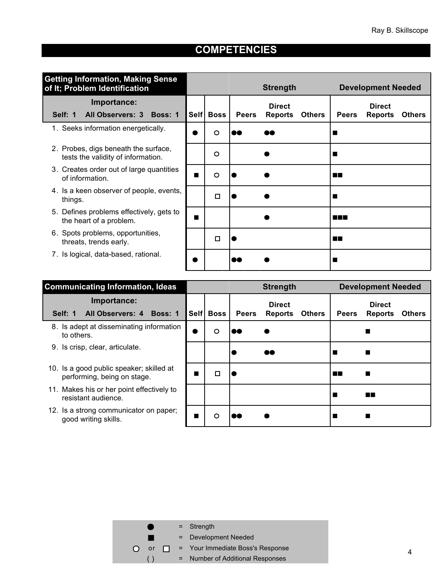<span id="page-3-0"></span>

| <b>Getting Information, Making Sense</b><br>of It; Problem Identification  |      |         |              | <b>Strength</b>                 |               |                | <b>Development Needed</b>       |               |
|----------------------------------------------------------------------------|------|---------|--------------|---------------------------------|---------------|----------------|---------------------------------|---------------|
| Importance:<br>Self: 1<br>All Observers: 3 Boss: 1                         | Self | Boss    | <b>Peers</b> | <b>Direct</b><br><b>Reports</b> | <b>Others</b> | <b>Peers</b>   | <b>Direct</b><br><b>Reports</b> | <b>Others</b> |
| 1. Seeks information energetically.                                        |      | $\circ$ | DØ           | D٨                              |               |                |                                 |               |
| 2. Probes, digs beneath the surface,<br>tests the validity of information. |      | $\circ$ |              |                                 |               |                |                                 |               |
| 3. Creates order out of large quantities<br>of information.                | Ш    | $\circ$ |              |                                 |               | EГ             |                                 |               |
| 4. Is a keen observer of people, events,<br>things.                        |      | □       |              |                                 |               |                |                                 |               |
| 5. Defines problems effectively, gets to<br>the heart of a problem.        | Ш    |         |              |                                 |               | <b>RICHARD</b> |                                 |               |
| 6. Spots problems, opportunities,<br>threats, trends early.                |      | □       |              |                                 |               | <b>The Co</b>  |                                 |               |
| 7. Is logical, data-based, rational.                                       |      |         |              |                                 |               |                |                                 |               |

| <b>Communicating Information, Ideas</b>                                 |           |             |              | <b>Strength</b>                 |               |              | <b>Development Needed</b>       |               |
|-------------------------------------------------------------------------|-----------|-------------|--------------|---------------------------------|---------------|--------------|---------------------------------|---------------|
| Importance:<br>All Observers: 4 Boss: 1<br>Self: 1                      | Self      | <b>Boss</b> | <b>Peers</b> | <b>Direct</b><br><b>Reports</b> | <b>Others</b> | <b>Peers</b> | <b>Direct</b><br><b>Reports</b> | <b>Others</b> |
| 8. Is adept at disseminating information<br>to others.                  | $\bullet$ | $\circ$     |              |                                 |               |              |                                 |               |
| Is crisp, clear, articulate.<br>9.                                      |           |             |              | $\bullet\bullet$                |               |              |                                 |               |
| 10. Is a good public speaker; skilled at<br>performing, being on stage. |           | □           |              |                                 |               | <b>TILL</b>  | $\blacksquare$                  |               |
| 11. Makes his or her point effectively to<br>resistant audience.        |           |             |              |                                 |               |              | <b>TELESCO</b>                  |               |
| 12. Is a strong communicator on paper;<br>good writing skills.          |           | O           |              |                                 |               |              |                                 |               |

Communicating Information, Ideas

| a and de  | $=$ Strength                            |
|-----------|-----------------------------------------|
|           | = Development Needed                    |
| <b>or</b> | $\Box$ = Your Immediate Boss's Response |
|           | = Number of Additional Responses        |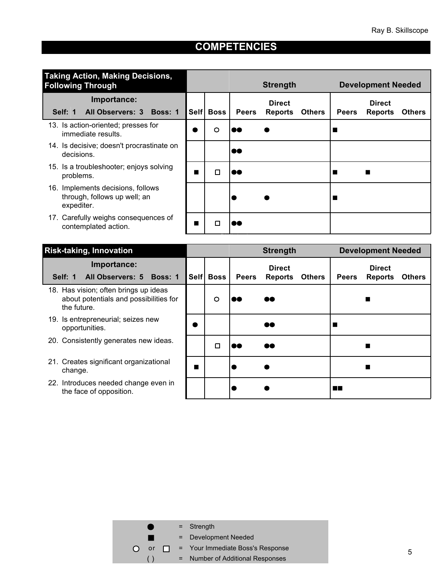<span id="page-4-0"></span>

| <b>Taking Action, Making Decisions,</b><br><b>Following Through</b>             |                 |             |                  | <b>Strength</b> |               |              | <b>Development Needed</b> |               |
|---------------------------------------------------------------------------------|-----------------|-------------|------------------|-----------------|---------------|--------------|---------------------------|---------------|
| Importance:                                                                     |                 |             |                  | <b>Direct</b>   |               |              | <b>Direct</b>             |               |
| All Observers: 3 Boss: 1<br>Self: 1                                             | Self            | <b>Boss</b> | <b>Peers</b>     | <b>Reports</b>  | <b>Others</b> | <b>Peers</b> | <b>Reports</b>            | <b>Others</b> |
| 13. Is action-oriented; presses for<br>immediate results.                       | $\bullet$       | O           | 88               |                 |               |              |                           |               |
| 14. Is decisive; doesn't procrastinate on<br>decisions.                         |                 |             | $\bullet\bullet$ |                 |               |              |                           |               |
| 15. Is a troubleshooter; enjoys solving<br>problems.                            | <b>Contract</b> | □           | DØ               |                 |               |              |                           |               |
| 16. Implements decisions, follows<br>through, follows up well; an<br>expediter. |                 |             |                  |                 |               |              |                           |               |
| 17. Carefully weighs consequences of<br>contemplated action.                    |                 | □           |                  |                 |               |              |                           |               |

| <b>Risk-taking, Innovation</b>                                                                 |      |             |              | <b>Strength</b>                 |               |              | <b>Development Needed</b>       |               |
|------------------------------------------------------------------------------------------------|------|-------------|--------------|---------------------------------|---------------|--------------|---------------------------------|---------------|
| Importance:<br>All Observers: 5 Boss: 1<br>Self: 1                                             | Self | <b>Boss</b> | <b>Peers</b> | <b>Direct</b><br><b>Reports</b> | <b>Others</b> | <b>Peers</b> | <b>Direct</b><br><b>Reports</b> | <b>Others</b> |
| 18. Has vision; often brings up ideas<br>about potentials and possibilities for<br>the future. |      | $\circ$     |              | đ٥                              |               |              |                                 |               |
| 19. Is entrepreneurial; seizes new<br>opportunities.                                           |      |             |              | 80                              |               |              |                                 |               |
| 20. Consistently generates new ideas.                                                          |      | □           | 80           | ee                              |               |              |                                 |               |
| 21. Creates significant organizational<br>change.                                              | П    |             |              |                                 |               |              |                                 |               |
| 22. Introduces needed change even in<br>the face of opposition.                                |      |             |              |                                 |               | ПN           |                                 |               |

| e de la partir de la partir de la partir de la partir de la partir de la partir de la partir de la partir de la | $=$ Strength                            |
|-----------------------------------------------------------------------------------------------------------------|-----------------------------------------|
|                                                                                                                 | = Development Needed                    |
| or                                                                                                              | $\Box$ = Your Immediate Boss's Response |
|                                                                                                                 | = Number of Additional Responses        |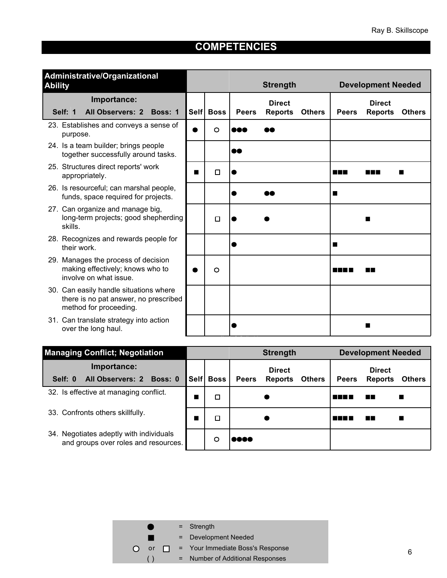<span id="page-5-0"></span>

| Administrative/Organizational<br><b>Ability</b>                                                           |      | <b>Strength</b> |              |                                 | <b>Development Needed</b> |                                     |                                 |               |
|-----------------------------------------------------------------------------------------------------------|------|-----------------|--------------|---------------------------------|---------------------------|-------------------------------------|---------------------------------|---------------|
| Importance:<br><b>All Observers: 2</b><br>Self: 1<br>Boss: 1                                              | Self | <b>Boss</b>     | <b>Peers</b> | <b>Direct</b><br><b>Reports</b> | <b>Others</b>             | <b>Peers</b>                        | <b>Direct</b><br><b>Reports</b> | <b>Others</b> |
| 23. Establishes and conveys a sense of<br>purpose.                                                        |      | $\circ$         | DO 1         |                                 |                           |                                     |                                 |               |
| 24. Is a team builder; brings people<br>together successfully around tasks.                               |      |                 | 60           |                                 |                           |                                     |                                 |               |
| 25. Structures direct reports' work<br>appropriately.                                                     | Ш    | Ω               |              |                                 |                           | <u> Literatu</u>                    | and the state                   |               |
| 26. Is resourceful; can marshal people,<br>funds, space required for projects.                            |      |                 |              |                                 |                           | a sa                                |                                 |               |
| 27. Can organize and manage big,<br>long-term projects; good shepherding<br>skills.                       |      | $\Box$          |              |                                 |                           |                                     | <b>Contract</b>                 |               |
| 28. Recognizes and rewards people for<br>their work.                                                      |      |                 |              |                                 |                           | ш                                   |                                 |               |
| 29. Manages the process of decision<br>making effectively; knows who to<br>involve on what issue.         |      | $\circ$         |              |                                 |                           | a kacamatan ing Kabupatèn Kabupatèn | a ka                            |               |
| 30. Can easily handle situations where<br>there is no pat answer, no prescribed<br>method for proceeding. |      |                 |              |                                 |                           |                                     |                                 |               |
| 31. Can translate strategy into action<br>over the long haul.                                             |      |                 |              |                                 |                           |                                     |                                 |               |

| <b>Managing Conflict; Negotiation</b>                                           |           |              | <b>Strength</b> |               |              | <b>Development Needed</b>       |               |
|---------------------------------------------------------------------------------|-----------|--------------|-----------------|---------------|--------------|---------------------------------|---------------|
| Importance:                                                                     |           |              | <b>Direct</b>   |               |              | <b>Direct</b>                   |               |
| All Observers: 2 Boss: 0<br>Self: 0                                             | Self Boss | <b>Peers</b> | <b>Reports</b>  | <b>Others</b> | <b>Peers</b> | <b>Reports</b>                  | <b>Others</b> |
| 32. Is effective at managing conflict.                                          | ◻         |              |                 |               | M M M        | EП                              |               |
| 33. Confronts others skillfully.                                                | □         |              |                 |               |              | <b>The Contract of Security</b> |               |
| 34. Negotiates adeptly with individuals<br>and groups over roles and resources. | റ         | rooo         |                 |               |              |                                 |               |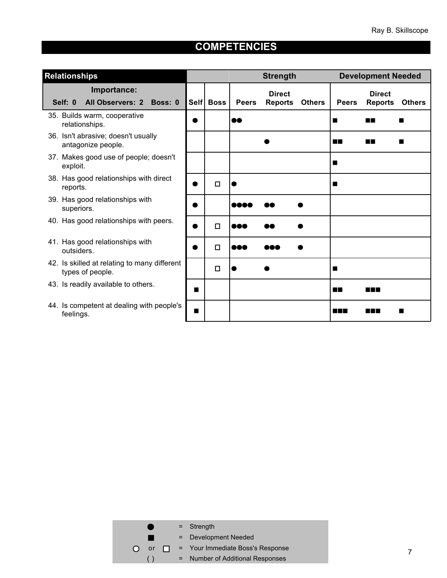<span id="page-6-0"></span>

| <b>Relationships</b>                                             |                |           |              | <b>Strength</b>                 |               |              | <b>Development Needed</b>       |               |
|------------------------------------------------------------------|----------------|-----------|--------------|---------------------------------|---------------|--------------|---------------------------------|---------------|
| Importance:<br>Self: 0<br><b>All Observers: 2</b><br>Boss: 0     |                | Self Boss | <b>Peers</b> | <b>Direct</b><br><b>Reports</b> | <b>Others</b> | <b>Peers</b> | <b>Direct</b><br><b>Reports</b> | <b>Others</b> |
| 35. Builds warm, cooperative<br>relationships.                   |                |           | 88           |                                 |               | ш            | m n                             |               |
| 36. Isn't abrasive; doesn't usually<br>antagonize people.        |                |           |              |                                 |               | ПT           | m T                             |               |
| 37. Makes good use of people; doesn't<br>exploit.                |                |           |              |                                 |               | H            |                                 |               |
| 38. Has good relationships with direct<br>reports.               |                | $\Box$    |              |                                 |               | H            |                                 |               |
| 39. Has good relationships with<br>superiors.                    |                |           | aaa          |                                 |               |              |                                 |               |
| 40. Has good relationships with peers.                           | ۰              | $\Box$    | 000          |                                 |               |              |                                 |               |
| 41. Has good relationships with<br>outsiders.                    |                | $\Box$    | 888          |                                 |               |              |                                 |               |
| 42. Is skilled at relating to many different<br>types of people. |                | $\Box$    |              |                                 |               | Ш            |                                 |               |
| 43. Is readily available to others.                              | ш              |           |              |                                 |               | ПT           | S I BIB                         |               |
| 44. Is competent at dealing with people's<br>feelings.           | $\blacksquare$ |           |              |                                 |               | n na         | M M M                           |               |

|    |     | $=$ Strength                     |
|----|-----|----------------------------------|
|    |     | = Development Needed             |
| or | T N | = Your Immediate Boss's Response |
|    |     | = Number of Additional Responses |
|    |     |                                  |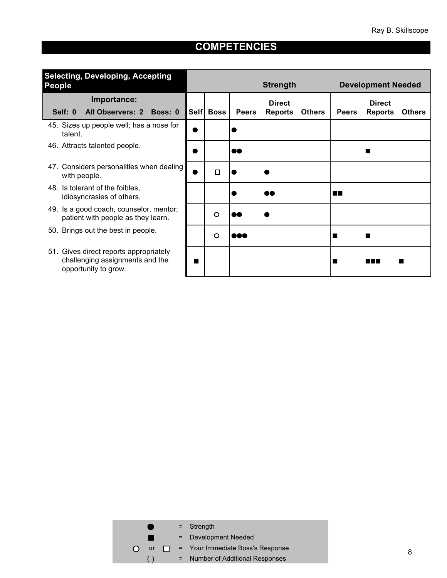<span id="page-7-0"></span>

| <b>Selecting, Developing, Accepting</b><br><b>People</b>                                          |   |           |              | <b>Strength</b> |               |              | <b>Development Needed</b> |               |
|---------------------------------------------------------------------------------------------------|---|-----------|--------------|-----------------|---------------|--------------|---------------------------|---------------|
| Importance:<br><b>All Observers: 2</b><br>Boss: 0                                                 |   |           |              | <b>Direct</b>   |               |              | <b>Direct</b>             |               |
| Self: 0                                                                                           |   | Self Boss | <b>Peers</b> | <b>Reports</b>  | <b>Others</b> | <b>Peers</b> | <b>Reports</b>            | <b>Others</b> |
| 45. Sizes up people well; has a nose for<br>talent.                                               |   |           |              |                 |               |              |                           |               |
| 46. Attracts talented people.                                                                     |   |           | 60           |                 |               |              | ш                         |               |
| 47. Considers personalities when dealing<br>with people.                                          |   | □         |              |                 |               |              |                           |               |
| 48. Is tolerant of the foibles,<br>idiosyncrasies of others.                                      |   |           |              |                 |               | n n          |                           |               |
| 49. Is a good coach, counselor, mentor;<br>patient with people as they learn.                     |   | $\circ$   |              |                 |               |              |                           |               |
| 50. Brings out the best in people.                                                                |   | $\circ$   | DOO          |                 |               |              | Ш                         |               |
| 51. Gives direct reports appropriately<br>challenging assignments and the<br>opportunity to grow. | Ш |           |              |                 |               |              | a ka                      |               |

|    |     | $=$ Strength                     |
|----|-----|----------------------------------|
|    |     | = Development Needed             |
| or | T N | = Your Immediate Boss's Response |
|    |     | = Number of Additional Responses |
|    |     |                                  |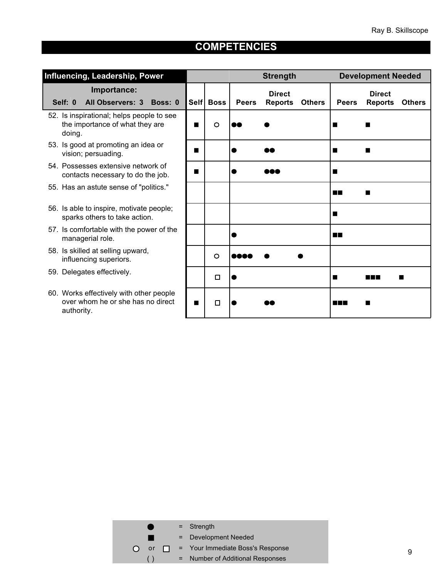<span id="page-8-0"></span>

| Influencing, Leadership, Power                                                             |                 |             |              | <b>Strength</b>                                  |                  | <b>Development Needed</b>                        |
|--------------------------------------------------------------------------------------------|-----------------|-------------|--------------|--------------------------------------------------|------------------|--------------------------------------------------|
| Importance:<br><b>All Observers: 3</b><br>Self: 0<br>Boss: 0                               | Self            | <b>Boss</b> | <b>Peers</b> | <b>Direct</b><br><b>Others</b><br><b>Reports</b> | <b>Peers</b>     | <b>Direct</b><br><b>Reports</b><br><b>Others</b> |
| 52. Is inspirational; helps people to see<br>the importance of what they are<br>doing.     | П               | $\circ$     | DO 1         |                                                  | Ш                | ш                                                |
| 53. Is good at promoting an idea or<br>vision; persuading.                                 | Ш               |             |              |                                                  | ш                | ш                                                |
| 54. Possesses extensive network of<br>contacts necessary to do the job.                    | Ш               |             |              |                                                  | П                |                                                  |
| 55. Has an astute sense of "politics."                                                     |                 |             |              |                                                  | <b>The State</b> |                                                  |
| 56. Is able to inspire, motivate people;<br>sparks others to take action.                  |                 |             |              |                                                  | ш                |                                                  |
| 57. Is comfortable with the power of the<br>managerial role.                               |                 |             |              |                                                  | <b>TIP</b>       |                                                  |
| 58. Is skilled at selling upward,<br>influencing superiors.                                |                 | $\circ$     |              |                                                  |                  |                                                  |
| 59. Delegates effectively.                                                                 |                 | $\Box$      |              |                                                  | ш                | <b>Alta</b>                                      |
| 60. Works effectively with other people<br>over whom he or she has no direct<br>authority. | <b>Contract</b> | $\Box$      |              |                                                  |                  |                                                  |

|                        | $=$ Strength                            |
|------------------------|-----------------------------------------|
|                        | = Development Needed                    |
| or<br>$\left( \right)$ | $\Box$ = Your Immediate Boss's Response |
|                        | = Number of Additional Responses        |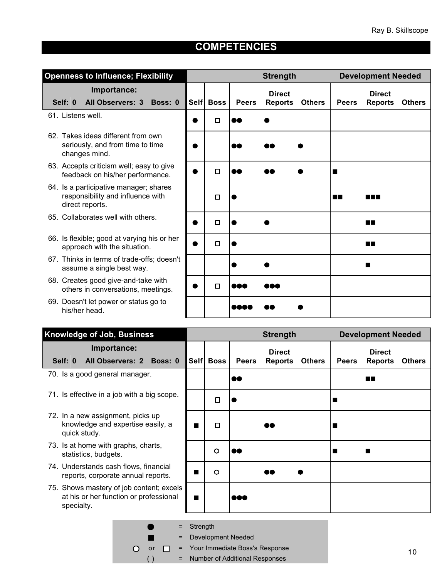<span id="page-9-0"></span>

| <b>Openness to Influence; Flexibility</b>                                                      |      |             |                  | <b>Strength</b>                 |               |                                | <b>Development Needed</b>       |               |
|------------------------------------------------------------------------------------------------|------|-------------|------------------|---------------------------------|---------------|--------------------------------|---------------------------------|---------------|
| Importance:<br><b>All Observers: 3</b><br>Self: 0<br>Boss: 0                                   | Self | <b>Boss</b> | <b>Peers</b>     | <b>Direct</b><br><b>Reports</b> | <b>Others</b> | <b>Peers</b>                   | <b>Direct</b><br><b>Reports</b> | <b>Others</b> |
| 61. Listens well.                                                                              |      | $\Box$      | oo               |                                 |               |                                |                                 |               |
| 62. Takes ideas different from own<br>seriously, and from time to time<br>changes mind.        |      |             | 88               |                                 |               |                                |                                 |               |
| 63. Accepts criticism well; easy to give<br>feedback on his/her performance.                   |      | $\Box$      | $\bullet\bullet$ |                                 |               | <b>The Contract of Service</b> |                                 |               |
| 64. Is a participative manager; shares<br>responsibility and influence with<br>direct reports. |      | $\Box$      |                  |                                 |               | a pr                           |                                 |               |
| 65. Collaborates well with others.                                                             |      | $\Box$      |                  |                                 |               |                                | <b>THE</b>                      |               |
| 66. Is flexible; good at varying his or her<br>approach with the situation.                    |      | $\Box$      |                  |                                 |               |                                | EГ                              |               |
| 67. Thinks in terms of trade-offs; doesn't<br>assume a single best way.                        |      |             |                  |                                 |               |                                | ш                               |               |
| 68. Creates good give-and-take with<br>others in conversations, meetings.                      |      | □           | x                |                                 |               |                                |                                 |               |
| 69. Doesn't let power or status go to<br>his/her head.                                         |      |             |                  |                                 |               |                                |                                 |               |

| <b>Knowledge of Job, Business</b>                                                                | <b>Strength</b>                |             |              | <b>Development Needed</b>       |               |              |                                 |               |
|--------------------------------------------------------------------------------------------------|--------------------------------|-------------|--------------|---------------------------------|---------------|--------------|---------------------------------|---------------|
| Importance:<br>Self: 0<br><b>All Observers: 2</b><br>Boss: 0                                     |                                | Self   Boss | <b>Peers</b> | <b>Direct</b><br><b>Reports</b> | <b>Others</b> | <b>Peers</b> | <b>Direct</b><br><b>Reports</b> | <b>Others</b> |
| 70. Is a good general manager.                                                                   |                                |             | 60           |                                 |               |              | ПF                              |               |
| 71. Is effective in a job with a big scope.                                                      |                                | □           |              |                                 |               |              |                                 |               |
| 72. In a new assignment, picks up<br>knowledge and expertise easily, a<br>quick study.           | п                              | □           |              | ð٥                              |               |              |                                 |               |
| 73. Is at home with graphs, charts,<br>statistics, budgets.                                      |                                | O           | DO           |                                 |               |              | п                               |               |
| 74. Understands cash flows, financial<br>reports, corporate annual reports.                      | <b>The Contract of Service</b> | $\circ$     |              |                                 |               |              |                                 |               |
| 75. Shows mastery of job content; excels<br>at his or her function or professional<br>specialty. | $\blacksquare$                 |             | eee          |                                 |               |              |                                 |               |
|                                                                                                  |                                |             |              |                                 |               |              |                                 |               |

Knowledge of Job, Business

= Strength  $\blacksquare$ = Development Needed П or  $\Box$  = Your Immediate Boss's Response

 $\circ$ 

( ) = Number of Additional Responses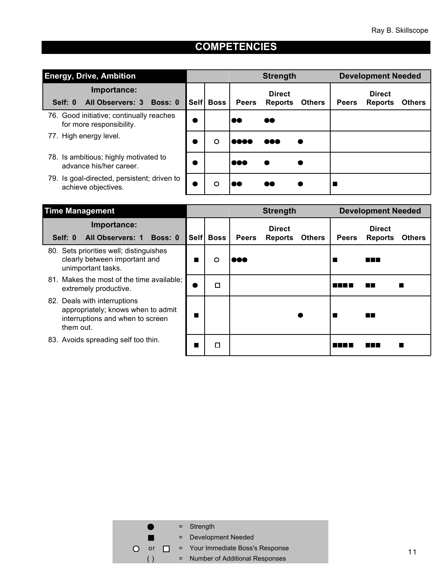<span id="page-10-0"></span>

| <b>Energy, Drive, Ambition</b>                                       |             |             |              | <b>Strength</b>                 |               |              | <b>Development Needed</b>       |               |
|----------------------------------------------------------------------|-------------|-------------|--------------|---------------------------------|---------------|--------------|---------------------------------|---------------|
| Importance:<br>All Observers: 3 Boss: 0<br>Self: 0                   | <b>Self</b> | <b>Boss</b> | <b>Peers</b> | <b>Direct</b><br><b>Reports</b> | <b>Others</b> | <b>Peers</b> | <b>Direct</b><br><b>Reports</b> | <b>Others</b> |
| 76. Good initiative; continually reaches<br>for more responsibility. |             |             | 80           | 60                              |               |              |                                 |               |
| 77. High energy level.                                               |             | O           | n dia ka     | aaa                             |               |              |                                 |               |
| 78. Is ambitious; highly motivated to<br>advance his/her career.     |             |             | 1000         |                                 |               |              |                                 |               |
| 79. Is goal-directed, persistent; driven to<br>achieve objectives.   |             | O           |              | 80                              |               |              |                                 |               |

| <b>Time Management</b>                                                                                              |             |              | <b>Strength</b>                 |               |              | <b>Development Needed</b>       |                           |
|---------------------------------------------------------------------------------------------------------------------|-------------|--------------|---------------------------------|---------------|--------------|---------------------------------|---------------------------|
| Importance:<br><b>All Observers: 1</b><br>Boss: 0<br>Self: 0                                                        | Self   Boss | <b>Peers</b> | <b>Direct</b><br><b>Reports</b> | <b>Others</b> | <b>Peers</b> | <b>Direct</b><br><b>Reports</b> | <b>Others</b>             |
| 80. Sets priorities well; distinguishes<br>clearly between important and<br>unimportant tasks.                      | O           | eee          |                                 |               |              | N N N                           |                           |
| 81. Makes the most of the time available;<br>extremely productive.                                                  | П           |              |                                 |               | M M M M      | <b>The State</b>                | <b>The Second Service</b> |
| 82. Deals with interruptions<br>appropriately; knows when to admit<br>interruptions and when to screen<br>them out. |             |              |                                 |               |              | ПF                              |                           |
| 83. Avoids spreading self too thin.                                                                                 | П           |              |                                 |               |              | a katika Ma                     |                           |

|                          | $=$ Strength                     |
|--------------------------|----------------------------------|
|                          | = Development Needed             |
| or o<br>T N<br>$\bigcap$ | = Your Immediate Boss's Response |
|                          | = Number of Additional Responses |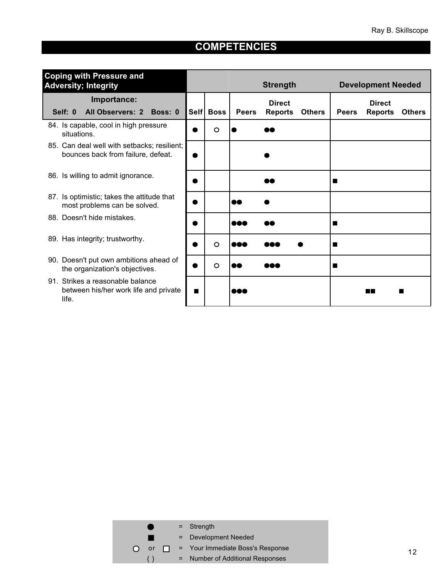<span id="page-11-0"></span>

| <b>Coping with Pressure and</b><br><b>Adversity; Integrity</b>                     |      |             |              | <b>Strength</b>                 |              | <b>Development Needed</b> |               |
|------------------------------------------------------------------------------------|------|-------------|--------------|---------------------------------|--------------|---------------------------|---------------|
| Importance:                                                                        |      |             |              | <b>Direct</b>                   |              | <b>Direct</b>             |               |
| Self: 0<br><b>All Observers: 2</b><br>Boss: 0                                      | Self | <b>Boss</b> | <b>Peers</b> | <b>Reports</b><br><b>Others</b> | <b>Peers</b> | <b>Reports</b>            | <b>Others</b> |
| 84. Is capable, cool in high pressure<br>situations.                               |      | $\circ$     |              |                                 |              |                           |               |
| 85. Can deal well with setbacks; resilient;<br>bounces back from failure, defeat.  |      |             |              |                                 |              |                           |               |
| 86. Is willing to admit ignorance.                                                 |      |             |              |                                 |              |                           |               |
| 87. Is optimistic; takes the attitude that<br>most problems can be solved.         |      |             | 60           |                                 |              |                           |               |
| 88. Doesn't hide mistakes.                                                         |      |             | <b>000</b>   |                                 |              |                           |               |
| 89. Has integrity; trustworthy.                                                    |      | $\circ$     | M.           |                                 | Ш            |                           |               |
| 90. Doesn't put own ambitions ahead of<br>the organization's objectives.           |      | $\circ$     | 88           |                                 | Ш            |                           |               |
| 91. Strikes a reasonable balance<br>between his/her work life and private<br>life. | Ш    |             | 808          |                                 |              |                           |               |

|                              | $=$ Strength                     |
|------------------------------|----------------------------------|
|                              | = Development Needed             |
| or<br>◥◣<br>$\left( \right)$ | = Your Immediate Boss's Response |
|                              | = Number of Additional Responses |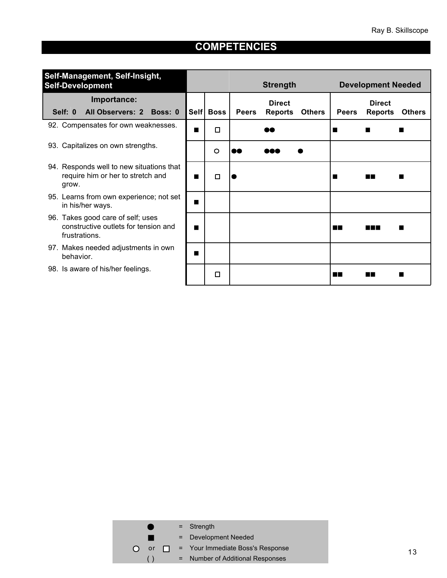| Self-Management, Self-Insight,<br><b>Self-Development</b>                                  |      | <b>Strength</b> |              |                | <b>Development Needed</b> |                     |                                 |               |
|--------------------------------------------------------------------------------------------|------|-----------------|--------------|----------------|---------------------------|---------------------|---------------------------------|---------------|
| Importance:                                                                                |      |                 |              | <b>Direct</b>  |                           |                     | <b>Direct</b>                   |               |
| <b>All Observers: 2</b><br>Self: 0<br>Boss: 0                                              | Self | <b>Boss</b>     | <b>Peers</b> | <b>Reports</b> | <b>Others</b>             | <b>Peers</b>        | <b>Reports</b>                  | <b>Others</b> |
| 92. Compensates for own weaknesses.                                                        | ш    | $\Box$          |              |                |                           | ш                   | a sa                            |               |
| 93. Capitalizes on own strengths.                                                          |      | O               | 88           | noa            |                           |                     |                                 |               |
| 94. Responds well to new situations that<br>require him or her to stretch and<br>grow.     | П    | □               |              |                |                           |                     | <b>The Contract of Security</b> |               |
| 95. Learns from own experience; not set<br>in his/her ways.                                | ш    |                 |              |                |                           |                     |                                 |               |
| 96. Takes good care of self; uses<br>constructive outlets for tension and<br>frustrations. | ш    |                 |              |                |                           | <b>The Contract</b> | 19 M M                          |               |
| 97. Makes needed adjustments in own<br>behavior.                                           | Ш    |                 |              |                |                           |                     |                                 |               |
| 98. Is aware of his/her feelings.                                                          |      | □               |              |                |                           | an ka               |                                 |               |

|                  |  | $=$ Strength                               |
|------------------|--|--------------------------------------------|
|                  |  | = Development Needed                       |
| $\left( \right)$ |  | or $\Box$ = Your Immediate Boss's Response |
|                  |  | = Number of Additional Responses           |
|                  |  |                                            |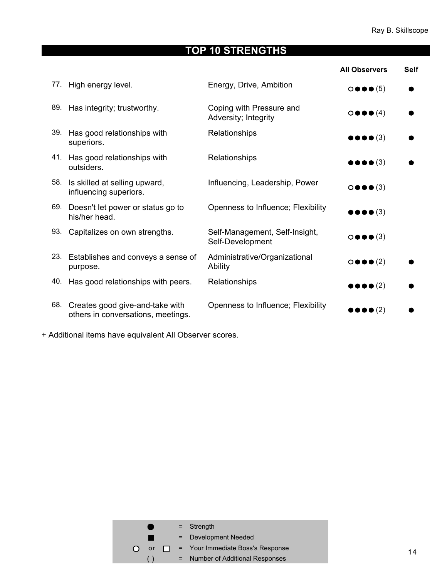# **TOP 10 STRENGTHS**

<span id="page-13-0"></span>

|     |                                                                       |                                                    | <b>All Observers</b>                    | <b>Self</b> |
|-----|-----------------------------------------------------------------------|----------------------------------------------------|-----------------------------------------|-------------|
| 77. | High energy level.                                                    | Energy, Drive, Ambition                            | $\circ \bullet \bullet \bullet (5)$     |             |
| 89. | Has integrity; trustworthy.                                           | Coping with Pressure and<br>Adversity; Integrity   | $\circ \bullet \bullet (\mathbf{4})$    |             |
| 39. | Has good relationships with<br>superiors.                             | Relationships                                      | $\bullet \bullet \bullet \bullet (3)$   |             |
|     | 41. Has good relationships with<br>outsiders.                         | Relationships                                      | $\bullet \bullet \bullet \bullet (3)$   |             |
| 58. | Is skilled at selling upward,<br>influencing superiors.               | Influencing, Leadership, Power                     | $\circ \bullet \bullet (\mathbf{3})$    |             |
| 69. | Doesn't let power or status go to<br>his/her head.                    | Openness to Influence; Flexibility                 | $\bullet \bullet \bullet (\bullet (3))$ |             |
| 93. | Capitalizes on own strengths.                                         | Self-Management, Self-Insight,<br>Self-Development | $\circ \bullet \bullet (\mathbf{3})$    |             |
| 23. | Establishes and conveys a sense of<br>purpose.                        | Administrative/Organizational<br>Ability           | $\circ \bullet \bullet (2)$             |             |
| 40. | Has good relationships with peers.                                    | Relationships                                      | $\bullet \bullet \bullet \bullet (2)$   |             |
| 68. | Creates good give-and-take with<br>others in conversations, meetings. | Openness to Influence; Flexibility                 | $\bullet\bullet\bullet$ (2)             |             |

+ Additional items have equivalent All Observer scores.

|           |    |  | $=$ Strength                            |
|-----------|----|--|-----------------------------------------|
|           |    |  | = Development Needed                    |
| $\bigcap$ | or |  | $\Box$ = Your Immediate Boss's Response |
|           |    |  | = Number of Additional Responses        |
|           |    |  |                                         |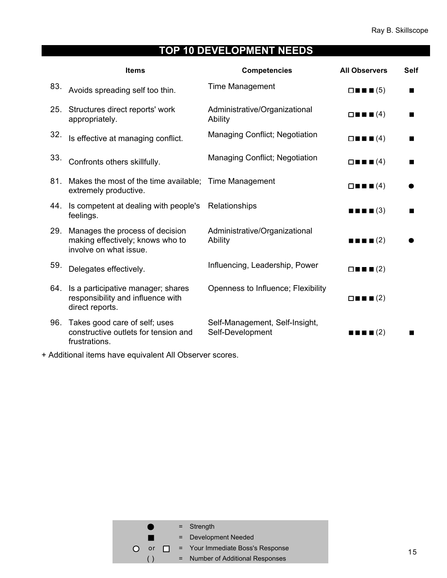# **TOP 10 DEVELOPMENT NEEDS**

<span id="page-14-0"></span>

|     | <b>Items</b>                                                                                  | <b>Competencies</b>                                | <b>All Observers</b>                              | <b>Self</b> |
|-----|-----------------------------------------------------------------------------------------------|----------------------------------------------------|---------------------------------------------------|-------------|
| 83. | Avoids spreading self too thin.                                                               | <b>Time Management</b>                             | $\square$ $\square$ $\square$ (5)                 | Ш           |
| 25. | Structures direct reports' work<br>appropriately.                                             | Administrative/Organizational<br>Ability           | $\Box \blacksquare \blacksquare \blacksquare (4)$ |             |
| 32. | Is effective at managing conflict.                                                            | Managing Conflict; Negotiation                     | $\Box \blacksquare \blacksquare \blacksquare (4)$ |             |
| 33. | Confronts others skillfully.                                                                  | Managing Conflict; Negotiation                     | $\Box \blacksquare \blacksquare \blacksquare (4)$ |             |
| 81. | Makes the most of the time available; Time Management<br>extremely productive.                |                                                    | $\Box \blacksquare \blacksquare \blacksquare (4)$ |             |
| 44. | Is competent at dealing with people's<br>feelings.                                            | Relationships                                      | $\blacksquare$ $\blacksquare$ $\blacksquare$ (3)  |             |
| 29. | Manages the process of decision<br>making effectively; knows who to<br>involve on what issue. | Administrative/Organizational<br>Ability           | $\blacksquare$ $\blacksquare$ $\blacksquare$ (2)  |             |
| 59. | Delegates effectively.                                                                        | Influencing, Leadership, Power                     | $\Box \blacksquare \blacksquare \blacksquare (2)$ |             |
| 64. | Is a participative manager; shares<br>responsibility and influence with<br>direct reports.    | Openness to Influence; Flexibility                 | $\Box \blacksquare \blacksquare \blacksquare (2)$ |             |
| 96. | Takes good care of self; uses<br>constructive outlets for tension and<br>frustrations.        | Self-Management, Self-Insight,<br>Self-Development | $\blacksquare$ $\blacksquare$ $\blacksquare$ (2)  |             |

+ Additional items have equivalent All Observer scores.

|           |  | $=$ Strength                               |
|-----------|--|--------------------------------------------|
|           |  | = Development Needed                       |
| $\bigcap$ |  | or $\Box$ = Your Immediate Boss's Response |
|           |  | = Number of Additional Responses           |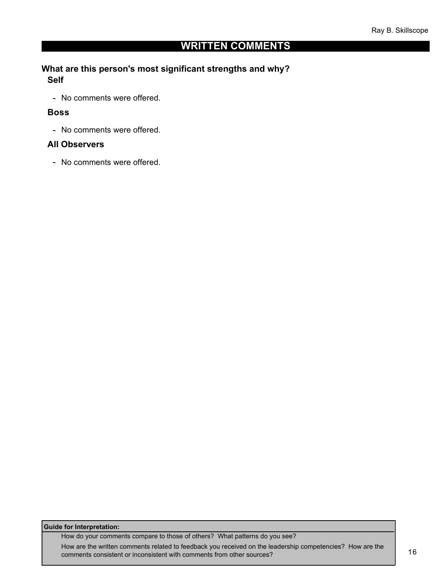### **WRITTEN COMMENTS**

#### <span id="page-15-0"></span>**What are this person's most significant strengths and why? Self**

- No comments were offered.

#### **Boss**

- No comments were offered.

#### **All Observers**

- No comments were offered.

#### **Guide for Interpretation:**

How do your comments compare to those of others? What patterns do you see?

How are the written comments related to feedback you received on the leadership competencies? How are the comments consistent or inconsistent with comments from other sources? 16